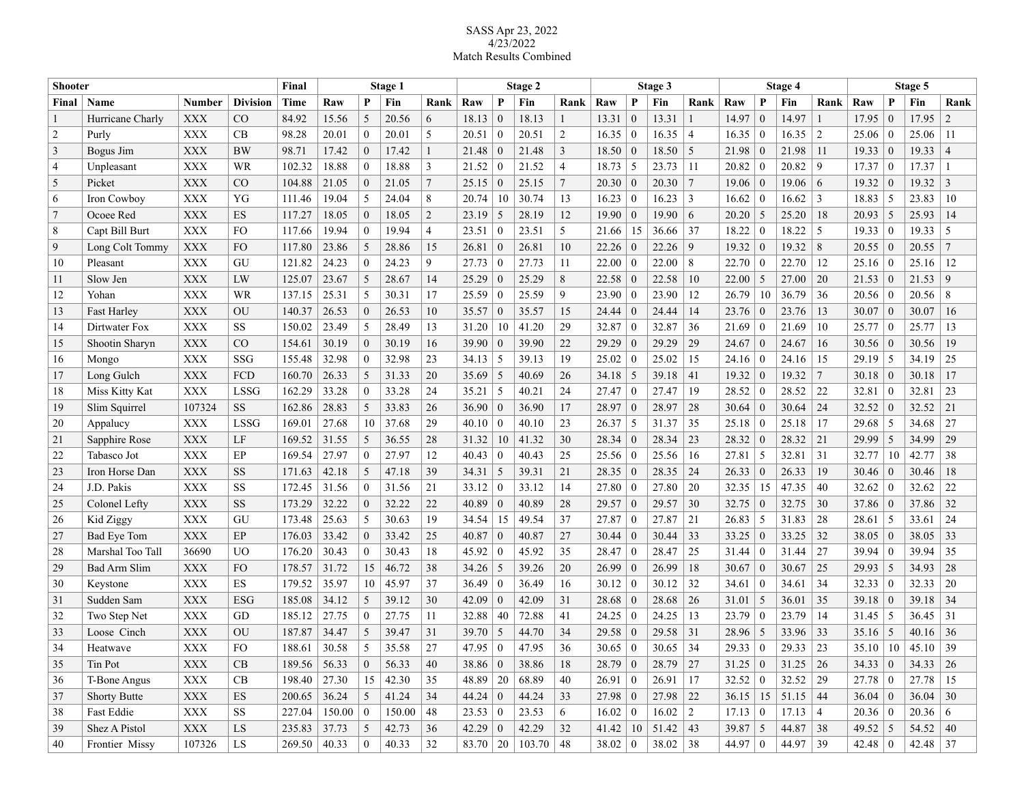## SASS Apr 23, 2022 4/23/2022 Match Results Combined

| <b>Shooter</b> |                     |                |                 | Final               | Stage 1    |                          |        |                | Stage 2        |                 |                            |      | Stage 3        |                |              |                | Stage 4        |                  |                           |            | Stage 5        |                |                 |                |
|----------------|---------------------|----------------|-----------------|---------------------|------------|--------------------------|--------|----------------|----------------|-----------------|----------------------------|------|----------------|----------------|--------------|----------------|----------------|------------------|---------------------------|------------|----------------|----------------|-----------------|----------------|
| Final          | Name                | <b>Number</b>  | <b>Division</b> | Time                | Raw        | P                        | Fin    | Rank           | Raw            | P               | Fin                        | Rank | Raw            | P              | Fin          | Rank           | Raw            | P                | Fin                       | Rank       | Raw            | P              | Fin             | Rank           |
|                | Hurricane Charly    | XXX            | $_{\rm CO}$     | 84.92               | 15.56      | 5                        | 20.56  | 6              | 18.13          | $\theta$        | 18.13                      |      | 13.31          | $\Omega$       | 13.31        |                | 14.97          | $\mathbf{0}$     | 14.97                     |            | 17.95          | $\Omega$       | 17.95           | $\overline{c}$ |
| $\overline{2}$ | Purly               | <b>XXX</b>     | CB              | 98.28               | 20.01      | $\theta$                 | 20.01  | 5              | 20.51          | $\overline{0}$  | 20.51                      | 2    | 16.35          | $\overline{0}$ | 16.35        | $\overline{4}$ | 16.35          | $\boldsymbol{0}$ | 16.35                     | 2          | 25.06          | $\theta$       | 25.06           | 11             |
| 3              | Bogus Jim           | <b>XXX</b>     | <b>BW</b>       | 98.71               | 17.42      | $\theta$                 | 17.42  |                | 21.48          | $\vert 0 \vert$ | 21.48                      | 3    | 18.50          | $\mathbf{0}$   | 18.50        | 5              | 21.98          | $\theta$         | 21.98                     | 11         | 19.33          | $\overline{0}$ | 19.33           | $\overline{4}$ |
| 4              | Unpleasant          | XXX            | WR              | 102.32              | 18.88      | $\theta$                 | 18.88  | 3              | 21.52          | $\overline{0}$  | 21.52                      | 4    | 18.73          | 5              | 23.73        | 11             | 20.82          | $\theta$         | 20.82                     | 9          | 17.37          | -0             | 17.37           |                |
| 5              | Picket              | <b>XXX</b>     | $\rm CO$        | 104.88              | 21.05      | $\Omega$                 | 21.05  | $\overline{7}$ | 25.15          | $\theta$        | 25.15                      | 7    | 20.30          | $\overline{0}$ | 20.30        | 7              | 19.06          | $\overline{0}$   | 19.06                     | 6          | 19.32          |                | 19.32           | 3              |
| 6              | Iron Cowboy         | <b>XXX</b>     | YG              | 111.46              | 19.04      | 5                        | 24.04  | 8              | 20.74          | 10              | 30.74                      | 13   | 16.23          | $\mathbf{0}$   | 16.23        | 3              | 16.62          | $\boldsymbol{0}$ | 16.62                     | 3          | 18.83          | -5             | 23.83           | 10             |
| 7              | Ocoee Red           | <b>XXX</b>     | ES              | 117.27              | 18.05      | $\theta$                 | 18.05  | $\overline{2}$ | 23.19          | -5              | 28.19                      | 12   | 19.90          | $\mathbf{0}$   | 19.90        | 6              | 20.20          | 5                | 25.20                     | 18         | 20.93          | -5             | 25.93           | 14             |
| 8              | Capt Bill Burt      | <b>XXX</b>     | FO.             | 117.66              | 19.94      | $\Omega$                 | 19.94  | 4              | 23.51          | $\theta$        | 23.51                      | 5    | 21.66          | 15             | 36.66        | 37             | 18.22          | $\boldsymbol{0}$ | 18.22                     | 5          | 19.33          | $\overline{0}$ | 19.33           | -5             |
| 9              | Long Colt Tommy     | <b>XXX</b>     | F <sub>O</sub>  | 117.80              | 23.86      | 5                        | 28.86  | 15             | 26.81          | $\overline{0}$  | 26.81                      | 10   | 22.26          | $\theta$       | 22.26        | 9              | 19.32          | $\theta$         | 19.32                     | 8          | 20.55          | -0             | 20.55           | $\overline{7}$ |
| 10             | Pleasant            | <b>XXX</b>     | GU              | 121.82              | 24.23      | $\theta$                 | 24.23  | 9              | 27.73   0      |                 | 27.73                      | 11   | 22.00          | $\mathbf{0}$   | 22.00        | 8              | 22.70          | $\theta$         | 22.70                     | 12         | 25.16          | $\overline{0}$ | 25.16           | 12             |
| 11             | Slow Jen            | <b>XXX</b>     | LW              | 125.07              | 23.67      | 5                        | 28.67  | 14             | 25.29          | $\overline{0}$  | 25.29                      | 8    | 22.58          | $\overline{0}$ | 22.58        | 10             | 22.00          | 5                | 27.00                     | 20         | 21.53          | $\bf{0}$       | 21.53           | 9              |
| 12             | Yohan               | <b>XXX</b>     | WR              | 137.15              | 25.31      | 5                        | 30.31  | 17             | 25.59          | $\theta$        | 25.59                      | 9    | 23.90          | $\overline{0}$ | 23.90        | 12             | 26.79          | 10               | 36.79                     | 36         | 20.56          | -0             | 20.56           | 8              |
| 13             | <b>Fast Harley</b>  | <b>XXX</b>     | OU              | 140.37              | 26.53      | $\theta$                 | 26.53  | 10             | 35.57          | $\overline{0}$  | 35.57                      | 15   | 24.44          | $\mathbf{0}$   | 24.44        | 14             | 23.76          | $\mathbf{0}$     | 23.76                     | 13         | 30.07          | $\overline{0}$ | 30.07           | 16             |
| 14             | Dirtwater Fox       | <b>XXX</b>     | <b>SS</b>       | 150.02              | 23.49      | 5                        | 28.49  | 13             | 31.20          | 10              | 41.20                      | 29   | 32.87          | $\mathbf{0}$   | 32.87        | 36             | 21.69          | $\theta$         | 21.69                     | 10         | 25.77          | -0             | 25.77           | 13             |
| 15             | Shootin Sharyn      | <b>XXX</b>     | $_{\rm CO}$     | 154.61              | 30.19      | $\theta$                 | 30.19  | 16             | 39.90          | $\theta$        | 39.90                      | 22   | 29.29          | $\theta$       | 29.29        | 29             | 24.67          | $\mathbf{0}$     | 24.67                     | 16         | 30.56          | $\theta$       | 30.56           | 19             |
| 16             | Mongo               | <b>XXX</b>     | SSG             | 155.48              | 32.98      | $\theta$                 | 32.98  | 23             | 34.13          | $\vert 5$       | 39.13                      | 19   | 25.02          | $\theta$       | 25.02        | 15             | 24.16          | $\theta$         | 24.16                     | 15         | 29.19          | -5             | 34.19           | 25             |
| 17             | Long Gulch          | <b>XXX</b>     | FCD             | 160.70              | 26.33      | 5                        | 31.33  | 20             | 35.69          | 5               | 40.69                      | 26   | 34.18          | 5              | 39.18        | 41             | 19.32          | $\theta$         | 19.32                     | 7          | 30.18          | $\overline{0}$ | 30.18           | 17             |
| 18             | Miss Kitty Kat      | <b>XXX</b>     | <b>LSSG</b>     | 162.29              | 33.28      | $\theta$                 | 33.28  | 24             | 35.21          | 5               | 40.21                      | 24   | 27.47          | $\mathbf{0}$   | 27.47        | 19             | 28.52          | $\theta$         | 28.52                     | 22         | 32.81          | -0             | 32.81           | 23             |
| 19             | Slim Squirrel       | 107324         | <b>SS</b>       | 162.86              | 28.83      | 5                        | 33.83  | 26             | 36.90          | $\overline{0}$  | 36.90                      | 17   | 28.97          | $\mathbf{0}$   | 28.97        | 28             | 30.64          | $\mathbf{0}$     | 30.64                     | 24         | 32.52          | -0             | 32.52           | 21             |
| 20             | Appalucy            | <b>XXX</b>     | <b>LSSG</b>     | 169.01              | 27.68      | 10                       | 37.68  | 29             | 40.10          | $\overline{0}$  | 40.10                      | 23   | 26.37          | 5              | 31.37        | 35             | 25.18          | $\theta$         | 25.18                     | 17         | 29.68          | -5             | 34.68           | 27             |
| 21             | Sapphire Rose       | <b>XXX</b>     | LF              | 169.52              | 31.55      | 5                        | 36.55  | 28             | 31.32          | 10              | 41.32                      | 30   | 28.34          | $\overline{0}$ | 28.34        | 23             | 28.32          | $\overline{0}$   | 28.32                     | 21         | 29.99          | -5             | 34.99           | 29             |
| 22             | Tabasco Jot         | XXX            | EP              | 169.54              | 27.97      | $\theta$                 | 27.97  | 12             | 40.43          | $\vert 0 \vert$ | 40.43                      | 25   | 25.56          | $\mathbf{0}$   | 25.56        | 16             | 27.81          | -5               | 32.81                     | 31         | 32.77          | 10             | 42.77           | 38             |
| 23             | Iron Horse Dan      | <b>XXX</b>     | <b>SS</b>       | 171.63              | 42.18      | 5                        | 47.18  | 39             | 34.31          | 5               | 39.31                      | 21   | 28.35          | $\mathbf{0}$   | 28.35        | 24             | 26.33          | $\mathbf{0}$     | 26.33                     | 19         | 30.46          | 0              | 30.46           | 18             |
| 24             | J.D. Pakis          | <b>XXX</b>     | <b>SS</b>       | 172.45              | 31.56      | $\theta$                 | 31.56  | 21             | 33.12          | $\vert 0$       | 33.12                      | 14   | 27.80          | $\mathbf{0}$   | 27.80        | 20             | 32.35          | 15               | 47.35                     | 40         | 32.62          | $\theta$       | 32.62           | 22             |
| 25             | Colonel Lefty       | <b>XXX</b>     | <b>SS</b>       | 173.29              | 32.22      | $\theta$                 | 32.22  | 22             | 40.89          | $\vert 0 \vert$ | 40.89                      | 28   | 29.57          | $\mathbf{0}$   | 29.57        | 30             | 32.75          | $\mathbf{0}$     | 32.75                     | 30         | 37.86          | $\overline{0}$ | 37.86           | 32             |
| 26             | Kid Ziggy           | <b>XXX</b>     | GU              | 173.48              | 25.63      | 5                        | 30.63  | 19             | 34.54          | 15              | 49.54                      | 37   | 27.87          | $\theta$       | 27.87        | 21             | 26.83          | 5                | 31.83                     | 28         | 28.61          | -5             | 33.61           | 24             |
| 27             | Bad Eye Tom         | <b>XXX</b>     | EP              | 176.03              | 33.42      | $\theta$                 | 33.42  | 25             | 40.87          | $\overline{0}$  | 40.87                      | 27   | 30.44          | $\Omega$       | 30.44        | 33             | 33.25          | $\overline{0}$   | 33.25                     | 32         | 38.05          | $\theta$       | 38.05           | 33             |
| 28             | Marshal Too Tall    | 36690          | UO              | 176.20              | 30.43      | $\theta$                 | 30.43  | 18             | 45.92          | $\theta$        | 45.92                      | 35   | 28.47          | $\mathbf{0}$   | 28.47        | 25             | 31.44          | $\theta$         | 31.44                     | 27         | 39.94          | $\theta$       | 39.94           | 35             |
| 29             | Bad Arm Slim        | <b>XXX</b>     | F <sub>O</sub>  | 178.57              | 31.72      | 15                       | 46.72  | 38             | 34.26          | -5              | 39.26                      | 20   | 26.99          | $\theta$       | 26.99        | 18             | 30.67          | $\theta$         | 30.67                     | 25         | 29.93          | -5             | 34.93           | 28             |
| 30             | Keystone            | XXX            | ES              | 179.52              | 35.97      | 10                       | 45.97  | 37             | 36.49          | $\overline{0}$  | 36.49                      | 16   | 30.12          | $\theta$       | 30.12        | 32             | 34.61          | $\theta$         | 34.61                     | 34         | 32.33          | $\theta$       | 32.33           | 20             |
| 31             | Sudden Sam          | <b>XXX</b>     | ESG             | 185.08              | 34.12      | 5                        | 39.12  | 30             | 42.09          | $\theta$        | 42.09                      | 31   | 28.68          | $\theta$       | 28.68        | 26             | 31.01          | 5                | 36.01                     | 35         | 39.18          | -0             | 39.18           | 34             |
| 32             | Two Step Net        | XXX            | GD              | 185.12              | 27.75      | $\theta$                 | 27.75  | 11             | 32.88          | 40              | 72.88                      | 41   | 24.25          | $\overline{0}$ | 24.25        | 13             | 23.79          | $\theta$         | 23.79                     | 14         | 31.45          | -5             | 36.45           | 31             |
| 33             | Loose Cinch         | <b>XXX</b>     | OU              | 187.87              | 34.47      | 5                        | 39.47  | 31             | 39.70          | 5               | 44.70                      | 34   | 29.58          | $\theta$       | 29.58        | 31             | 28.96          | 5                | 33.96                     | 33         | 35.16          | 5              | 40.16           | 36             |
| 34             | Heatwave            | XXX            | FO.             | 188.61              | 30.58      | $\overline{\mathcal{L}}$ | 35.58  | 27             | 47.95          | $\theta$        | 47.95                      | 36   | 30.65          | $\theta$       | 30.65        | 34             | 29.33          | $\theta$         | 29.33                     | 23         | 35.10          | 10             | 45.10           | 39             |
| 35             | Tin Pot             | <b>XXX</b>     | CB              | 189.56 56.33        |            | $\boldsymbol{0}$         | 56.33  | 40             | 38.86   0      |                 | 38.86                      | 18   | $28.79 \mid 0$ |                | $28.79$ 27   |                | $31.25 \mid 0$ |                  | $31.25 \mid 26$           |            | 34.33   0      |                | $34.33 \mid 26$ |                |
| 36             | T-Bone Angus        | <b>XXX</b>     | CB              | 198.40              | 27.30      | 15                       | 42.30  | 35             | 48.89          | $\vert$ 20      | 68.89                      | 40   | $26.91 \mid 0$ |                | $26.91$   17 |                | 32.52 0        |                  | 32.52                     | $\vert$ 29 | $27.78$   0    |                | 27.78           | $\vert$ 15     |
| 37             | <b>Shorty Butte</b> | <b>XXX</b>     | ES              | 200.65              | 36.24      | 5                        | 41.24  | 34             | $44.24 \mid 0$ |                 | 44.24                      | 33   | 27.98 0        |                | $27.98$ 22   |                |                |                  | $36.15$   15   51.15   44 |            | $36.04 \mid 0$ |                | $36.04$ 30      |                |
| 38             | Fast Eddie          | $\mathbf{XXX}$ | SS              | 227.04              | 150.00   0 |                          | 150.00 | 48             | 23.53   0      |                 | 23.53                      | 6    | $16.02 \mid 0$ |                | $16.02$   2  |                | $17.13 \mid 0$ |                  | $17.13 \mid 4$            |            | 20.36 0        |                | $20.36 \, \, 6$ |                |
| 39             | Shez A Pistol       | $\mathbf{XXX}$ | ${\rm LS}$      | 235.83 37.73        |            | 5                        | 42.73  | 36             | 42.29 0        |                 | 42.29                      | 32   | $41.42$   10   |                | 51.42 43     |                | $39.87 \mid 5$ |                  | 44.87 38                  |            | $49.52$ 5      |                | $54.52 \mid 40$ |                |
| 40             | Frontier Missy      | 107326         | LS              | $269.50 \mid 40.33$ |            | $\boldsymbol{0}$         | 40.33  | 32             |                |                 | $83.70$   20   103.70   48 |      | 38.02   0      |                | $38.02$ 38   |                | 44.97 0        |                  | 44.97 39                  |            | $42.48 \mid 0$ |                | 42.48 37        |                |